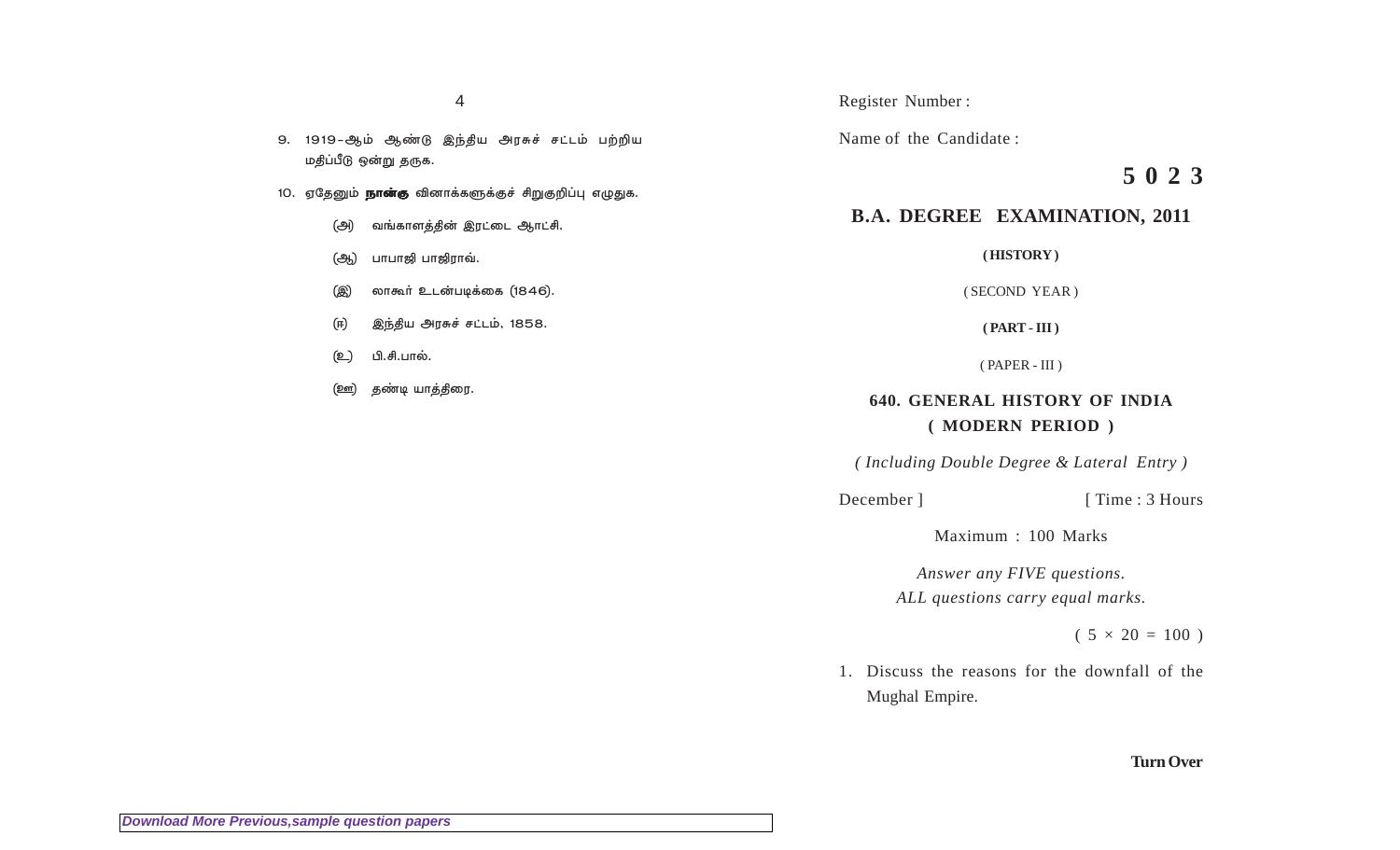9. 1919-ஆம் ஆண்டு இந்திய அரசுச் சட்டம் பற்றிய மதிப்பீடு ஒன்று தருக.

- 10. ஏதேனும் **நான்கு** வினாக்களுக்குச் சிறுகுறிப்பு எழுதுக.
	- வங்காளத்தின் இரட்டை ஆாட்சி. (அ)
	- பாபாஜி பாஜிராவ். (ஆ)

லாகூர் உடன்படிக்கை (1846). (இ)

- இந்திய அரசுச் சட்டம், 1858. (ਜ)
- பி.சி.பால். (உ)
- தண்டி யாத்திரை. <u>(ஊ)</u>

#### Register Number:

Name of the Candidate:

# 5023

## **B.A. DEGREE EXAMINATION, 2011**

(HISTORY)

(SECOND YEAR)

 $(PART - III)$ 

 $(PAPER - III)$ 

## **640. GENERAL HISTORY OF INDIA** (MODERN PERIOD)

(Including Double Degree & Lateral Entry)

December ]

[Time: 3 Hours]

Maximum: 100 Marks

Answer any FIVE questions. ALL questions carry equal marks.

 $(5 \times 20 = 100)$ 

1. Discuss the reasons for the downfall of the Mughal Empire.

**Turn Over**